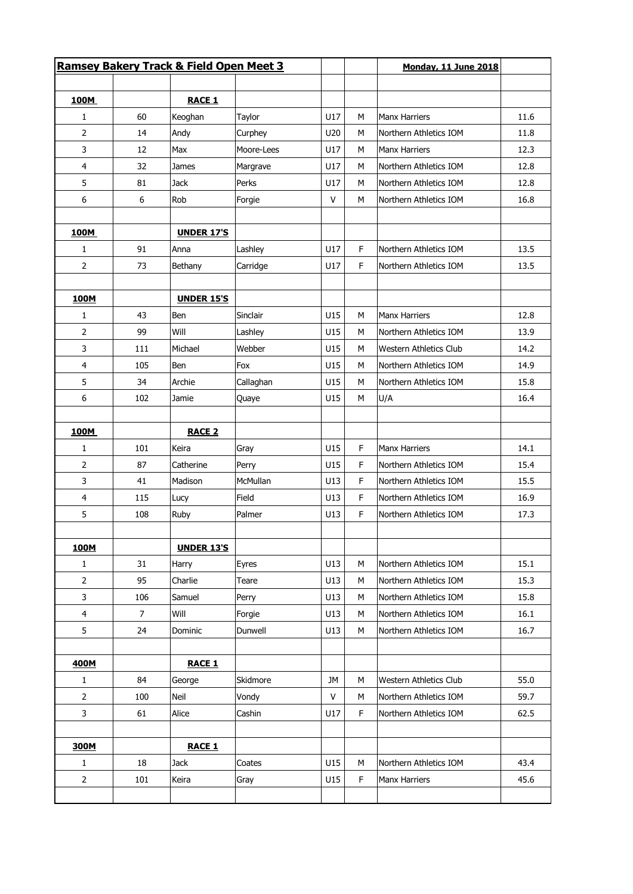|                         |     | <b>Ramsey Bakery Track &amp; Field Open Meet 3</b> |            |           | <b>Monday, 11 June 2018</b> |                               |      |
|-------------------------|-----|----------------------------------------------------|------------|-----------|-----------------------------|-------------------------------|------|
|                         |     |                                                    |            |           |                             |                               |      |
| 100M<br>1               | 60  | <b>RACE 1</b><br>Keoghan                           | Taylor     | U17       | м                           | <b>Manx Harriers</b>          | 11.6 |
| 2                       | 14  | Andy                                               | Curphey    | U20       | M                           | Northern Athletics IOM        | 11.8 |
| 3                       | 12  | Max                                                | Moore-Lees | U17       | M                           | <b>Manx Harriers</b>          | 12.3 |
| 4                       | 32  | James                                              | Margrave   | U17       | M                           | Northern Athletics IOM        | 12.8 |
| 5                       | 81  | <b>Jack</b>                                        | Perks      | U17       | M                           | Northern Athletics IOM        | 12.8 |
| 6                       | 6   | Rob                                                | Forgie     | V         | M                           | Northern Athletics IOM        | 16.8 |
| 100M                    |     | <b>UNDER 17'S</b>                                  |            |           |                             |                               |      |
| 1                       | 91  | Anna                                               | Lashley    | U17       | F                           | Northern Athletics IOM        | 13.5 |
| 2                       | 73  | Bethany                                            | Carridge   | U17       | F                           | Northern Athletics IOM        | 13.5 |
| 100M                    |     | <b>UNDER 15'S</b>                                  |            |           |                             |                               |      |
| 1                       | 43  | Ben                                                | Sinclair   | U15       | M                           | <b>Manx Harriers</b>          | 12.8 |
| 2                       | 99  | Will                                               | Lashley    | U15       | M                           | Northern Athletics IOM        | 13.9 |
| 3                       | 111 | Michael                                            | Webber     | U15       | M                           | <b>Western Athletics Club</b> | 14.2 |
| 4                       | 105 | Ben                                                | Fox        | U15       | м                           | Northern Athletics IOM        | 14.9 |
| 5                       | 34  | Archie                                             | Callaghan  | U15       | M                           | Northern Athletics IOM        | 15.8 |
| 6                       | 102 | Jamie                                              | Quaye      | U15       | M                           | U/A                           | 16.4 |
| 100M                    |     | <b>RACE 2</b>                                      |            |           |                             |                               |      |
| 1                       | 101 | Keira                                              | Gray       | U15       | F                           | <b>Manx Harriers</b>          | 14.1 |
| 2                       | 87  | Catherine                                          | Perry      | U15       | F.                          | Northern Athletics IOM        | 15.4 |
| 3                       | 41  | Madison                                            | McMullan   | U13       | F.                          | Northern Athletics IOM        | 15.5 |
| 4                       | 115 | Lucy                                               | Field      | U13       | F                           | Northern Athletics IOM        | 16.9 |
| 5                       | 108 | Ruby                                               | Palmer     | U13       | F                           | Northern Athletics IOM        | 17.3 |
| 100M                    |     | <b>UNDER 13'S</b>                                  |            |           |                             |                               |      |
| $\mathbf{1}$            | 31  | Harry                                              | Eyres      | U13       | M                           | Northern Athletics IOM        | 15.1 |
| 2                       | 95  | Charlie                                            | Teare      | U13       | M                           | Northern Athletics IOM        | 15.3 |
| 3                       | 106 | Samuel                                             | Perry      | U13       | M                           | Northern Athletics IOM        | 15.8 |
| $\overline{\mathbf{4}}$ | 7   | Will                                               | Forgie     | U13       | м                           | Northern Athletics IOM        | 16.1 |
| 5                       | 24  | Dominic                                            | Dunwell    | U13       | M                           | Northern Athletics IOM        | 16.7 |
| 400M                    |     | <b>RACE 1</b>                                      |            |           |                             |                               |      |
| $\mathbf{1}$            | 84  | George                                             | Skidmore   | <b>JM</b> | M                           | Western Athletics Club        | 55.0 |
| 2                       | 100 | Neil                                               | Vondy      | $\vee$    | M                           | Northern Athletics IOM        | 59.7 |
| 3                       | 61  | Alice                                              | Cashin     | U17       | F                           | Northern Athletics IOM        | 62.5 |
| 300M                    |     | <b>RACE 1</b>                                      |            |           |                             |                               |      |
| $\mathbf{1}$            | 18  | <b>Jack</b>                                        | Coates     | U15       | M                           | Northern Athletics IOM        | 43.4 |
| 2                       | 101 | Keira                                              | Gray       | U15       | F                           | <b>Manx Harriers</b>          | 45.6 |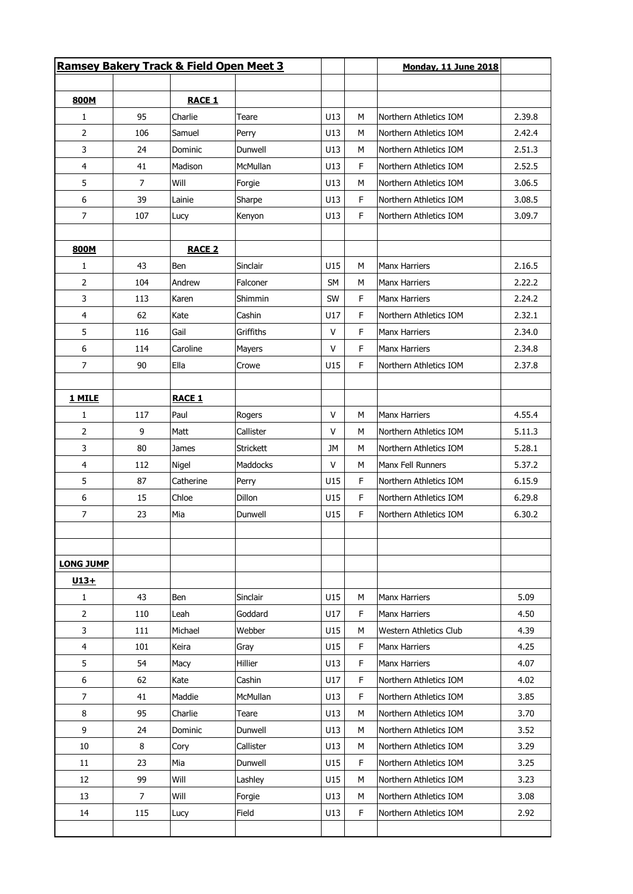|                  |     | Ramsey Bakery Track & Field Open Meet 3 |                  |           |    | <b>Monday, 11 June 2018</b> |        |
|------------------|-----|-----------------------------------------|------------------|-----------|----|-----------------------------|--------|
|                  |     |                                         |                  |           |    |                             |        |
| 800M             |     | <b>RACE 1</b>                           |                  |           |    |                             |        |
| 1                | 95  | Charlie                                 | Teare            | U13       | M  | Northern Athletics IOM      | 2.39.8 |
| 2                | 106 | Samuel                                  | Perry            | U13       | M  | Northern Athletics IOM      | 2.42.4 |
| 3                | 24  | Dominic                                 | Dunwell          | U13       | М  | Northern Athletics IOM      | 2.51.3 |
| 4                | 41  | Madison                                 | McMullan         | U13       | F  | Northern Athletics IOM      | 2.52.5 |
| 5                | 7   | Will                                    | Forgie           | U13       | M  | Northern Athletics IOM      | 3.06.5 |
| 6                | 39  | Lainie                                  | Sharpe           | U13       | F  | Northern Athletics IOM      | 3.08.5 |
| 7                | 107 | Lucy                                    | Kenyon           | U13       | F  | Northern Athletics IOM      | 3.09.7 |
|                  |     |                                         |                  |           |    |                             |        |
| 800M             |     | <b>RACE 2</b>                           |                  |           |    |                             |        |
| $\mathbf{1}$     | 43  | Ben                                     | Sinclair         | U15       | M  | <b>Manx Harriers</b>        | 2.16.5 |
| 2                | 104 | Andrew                                  | Falconer         | <b>SM</b> | М  | <b>Manx Harriers</b>        | 2.22.2 |
| 3                | 113 | Karen                                   | Shimmin          | SW        | F  | Manx Harriers               | 2.24.2 |
| 4                | 62  | Kate                                    | Cashin           | U17       | F  | Northern Athletics IOM      | 2.32.1 |
| 5                | 116 | Gail                                    | Griffiths        | $\vee$    | F  | <b>Manx Harriers</b>        | 2.34.0 |
| 6                | 114 | Caroline                                | Mayers           | V         | F  | <b>Manx Harriers</b>        | 2.34.8 |
| 7                | 90  | Ella                                    | Crowe            | U15       | F  | Northern Athletics IOM      | 2.37.8 |
|                  |     |                                         |                  |           |    |                             |        |
| 1 MILE           |     | <b>RACE 1</b>                           |                  |           |    |                             |        |
| 1                | 117 | Paul                                    | Rogers           | $\vee$    | M  | <b>Manx Harriers</b>        | 4.55.4 |
| 2                | 9   | Matt                                    | Callister        | v         | M  | Northern Athletics IOM      | 5.11.3 |
| 3                | 80  | James                                   | <b>Strickett</b> | JM        | M  | Northern Athletics IOM      | 5.28.1 |
| 4                | 112 | Nigel                                   | Maddocks         | v         | М  | Manx Fell Runners           | 5.37.2 |
| 5                | 87  | Catherine                               | Perry            | U15       | F  | Northern Athletics IOM      | 6.15.9 |
| 6                | 15  | Chloe                                   | Dillon           | U15       | F  | Northern Athletics IOM      | 6.29.8 |
| $\overline{7}$   | 23  | Mia                                     | Dunwell          | U15       | F  | Northern Athletics IOM      | 6.30.2 |
|                  |     |                                         |                  |           |    |                             |        |
| <b>LONG JUMP</b> |     |                                         |                  |           |    |                             |        |
| $U13+$<br>1      | 43  | Ben                                     | Sinclair         | U15       | M  | Manx Harriers               | 5.09   |
| $\overline{2}$   | 110 | Leah                                    | Goddard          | U17       | F  | <b>Manx Harriers</b>        | 4.50   |
|                  |     |                                         | Webber           | U15       |    |                             |        |
| 3                | 111 | Michael                                 |                  |           | М  | Western Athletics Club      | 4.39   |
| 4                | 101 | Keira                                   | Gray             | U15       | F. | <b>Manx Harriers</b>        | 4.25   |
| 5                | 54  | Macy                                    | Hillier          | U13       | F  | <b>Manx Harriers</b>        | 4.07   |
| 6                | 62  | Kate                                    | Cashin           | U17       | F  | Northern Athletics IOM      | 4.02   |
| 7                | 41  | Maddie                                  | McMullan         | U13       | F  | Northern Athletics IOM      | 3.85   |
| 8                | 95  | Charlie                                 | Teare            | U13       | М  | Northern Athletics IOM      | 3.70   |
| 9                | 24  | Dominic                                 | Dunwell          | U13       | М  | Northern Athletics IOM      | 3.52   |
| 10               | 8   | Cory                                    | Callister        | U13       | М  | Northern Athletics IOM      | 3.29   |
| 11               | 23  | Mia                                     | Dunwell          | U15       | F  | Northern Athletics IOM      | 3.25   |
| 12               | 99  | Will                                    | Lashley          | U15       | М  | Northern Athletics IOM      | 3.23   |
| 13               | 7   | Will                                    | Forgie           | U13       | М  | Northern Athletics IOM      | 3.08   |
| 14               | 115 | Lucy                                    | Field            | U13       | F  | Northern Athletics IOM      | 2.92   |